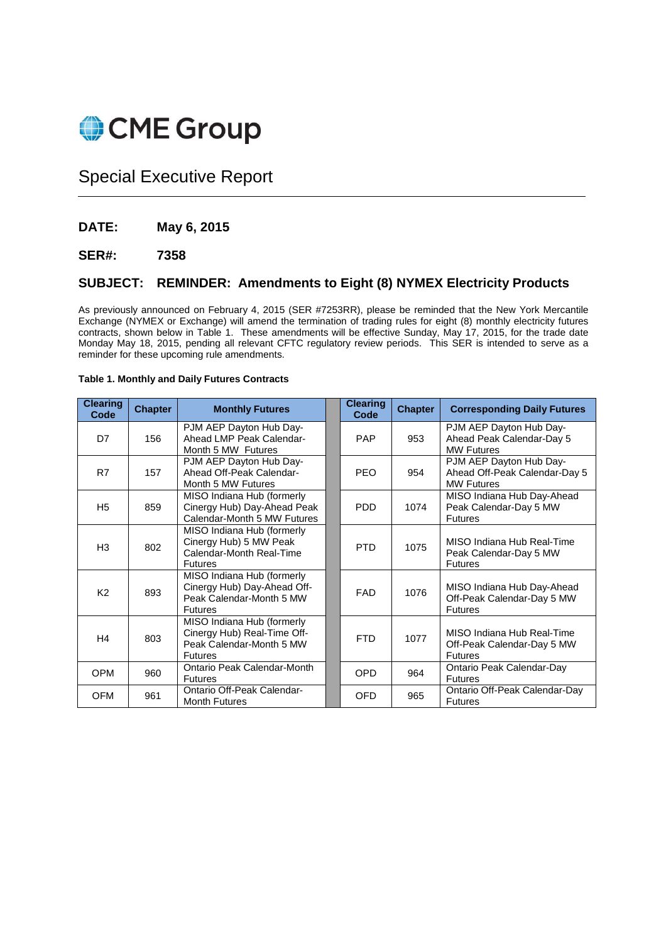# CME Group

## Special Executive Report

**DATE: May 6, 2015** 

**SER#: 7358**

### **SUBJECT: REMINDER: Amendments to Eight (8) NYMEX Electricity Products**

As previously announced on February 4, 2015 (SER #7253RR), please be reminded that the New York Mercantile Exchange (NYMEX or Exchange) will amend the termination of trading rules for eight (8) monthly electricity futures contracts, shown below in Table 1. These amendments will be effective Sunday, May 17, 2015, for the trade date Monday May 18, 2015, pending all relevant CFTC regulatory review periods. This SER is intended to serve as a reminder for these upcoming rule amendments.

#### **Clearing Chapter Monthly Futures Chapter Clearing Code Chapter | Corresponding Daily Futures** D7 156 PJM AEP Dayton Hub Day-Ahead LMP Peak Calendar-Month 5 MW Futures PAP 953 PJM AEP Dayton Hub Day-Ahead Peak Calendar-Day 5 MW Futures R7 157 PJM AEP Dayton Hub Day-Ahead Off-Peak Calendar-Month 5 MW Futures PFO 954 PJM AEP Dayton Hub Day-Ahead Off-Peak Calendar-Day 5 MW Futures  $H5 \t| 859$ MISO Indiana Hub (formerly Cinergy Hub) Day-Ahead Peak Calendar-Month 5 MW Futures PDD 1074 MISO Indiana Hub Day-Ahead Peak Calendar-Day 5 MW Futures  $H3$   $802$ MISO Indiana Hub (formerly Cinergy Hub) 5 MW Peak Calendar-Month Real-Time Futures PTD 1075 MISO Indiana Hub Real-Time Peak Calendar-Day 5 MW Futures K<sub>2</sub> | 893 MISO Indiana Hub (formerly Cinergy Hub) Day-Ahead Off-Peak Calendar-Month 5 MW Futures FAD 1076 MISO Indiana Hub Day-Ahead Off-Peak Calendar-Day 5 MW Futures H4 803 MISO Indiana Hub (formerly Cinergy Hub) Real-Time Off-Peak Calendar-Month 5 MW Futures FTD 1077 MISO Indiana Hub Real-Time Off-Peak Calendar-Day 5 MW Futures OPM 960 Ontario Peak Calendar-Month Futures OPD 964 Ontario Peak Calendar-Day Futures OFM 961 Ontario Off-Peak Calendar-Month Futures OFD 965 Ontario Off-Peak Calendar-Day Futures

#### **Table 1. Monthly and Daily Futures Contracts**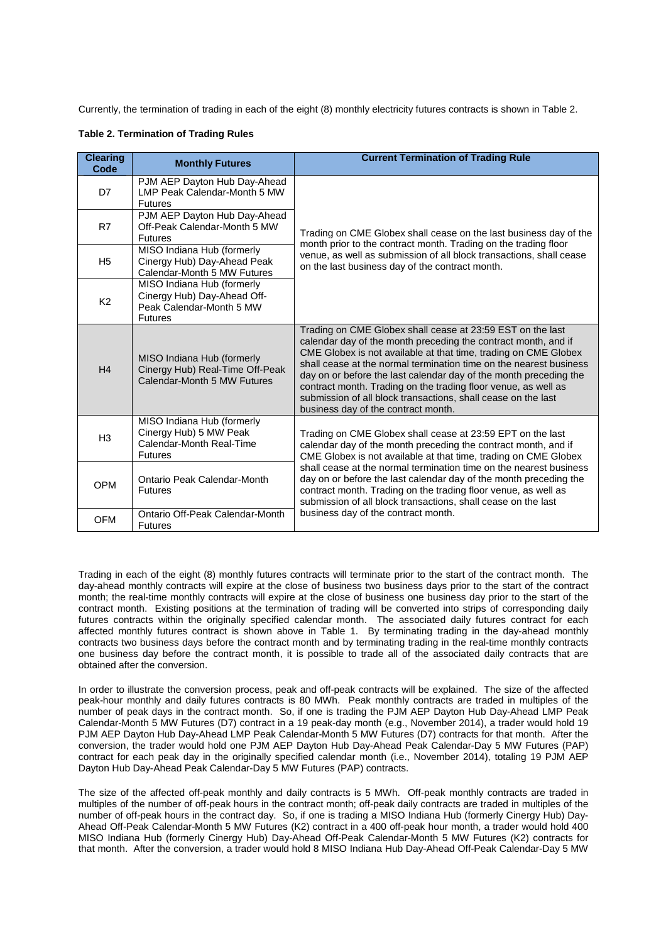Currently, the termination of trading in each of the eight (8) monthly electricity futures contracts is shown in Table 2.

| <b>Clearing</b><br>Code | <b>Monthly Futures</b>                                                                                  | <b>Current Termination of Trading Rule</b>                                                                                                                                                                                                                                                                                                                                                                                                                                                                           |
|-------------------------|---------------------------------------------------------------------------------------------------------|----------------------------------------------------------------------------------------------------------------------------------------------------------------------------------------------------------------------------------------------------------------------------------------------------------------------------------------------------------------------------------------------------------------------------------------------------------------------------------------------------------------------|
| D7                      | PJM AEP Dayton Hub Day-Ahead<br>LMP Peak Calendar-Month 5 MW<br><b>Futures</b>                          | Trading on CME Globex shall cease on the last business day of the<br>month prior to the contract month. Trading on the trading floor<br>venue, as well as submission of all block transactions, shall cease<br>on the last business day of the contract month.                                                                                                                                                                                                                                                       |
| R7                      | PJM AEP Dayton Hub Day-Ahead<br>Off-Peak Calendar-Month 5 MW<br><b>Futures</b>                          |                                                                                                                                                                                                                                                                                                                                                                                                                                                                                                                      |
| H <sub>5</sub>          | MISO Indiana Hub (formerly<br>Cinergy Hub) Day-Ahead Peak<br>Calendar-Month 5 MW Futures                |                                                                                                                                                                                                                                                                                                                                                                                                                                                                                                                      |
| K <sub>2</sub>          | MISO Indiana Hub (formerly<br>Cinergy Hub) Day-Ahead Off-<br>Peak Calendar-Month 5 MW<br><b>Futures</b> |                                                                                                                                                                                                                                                                                                                                                                                                                                                                                                                      |
| H <sub>4</sub>          | MISO Indiana Hub (formerly<br>Cinergy Hub) Real-Time Off-Peak<br>Calendar-Month 5 MW Futures            | Trading on CME Globex shall cease at 23:59 EST on the last<br>calendar day of the month preceding the contract month, and if<br>CME Globex is not available at that time, trading on CME Globex<br>shall cease at the normal termination time on the nearest business<br>day on or before the last calendar day of the month preceding the<br>contract month. Trading on the trading floor venue, as well as<br>submission of all block transactions, shall cease on the last<br>business day of the contract month. |
| H <sub>3</sub>          | MISO Indiana Hub (formerly<br>Cinergy Hub) 5 MW Peak<br>Calendar-Month Real-Time<br><b>Futures</b>      | Trading on CME Globex shall cease at 23:59 EPT on the last<br>calendar day of the month preceding the contract month, and if<br>CME Globex is not available at that time, trading on CME Globex                                                                                                                                                                                                                                                                                                                      |
| <b>OPM</b>              | <b>Ontario Peak Calendar-Month</b><br><b>Futures</b>                                                    | shall cease at the normal termination time on the nearest business<br>day on or before the last calendar day of the month preceding the<br>contract month. Trading on the trading floor venue, as well as<br>submission of all block transactions, shall cease on the last                                                                                                                                                                                                                                           |
| <b>OFM</b>              | Ontario Off-Peak Calendar-Month<br><b>Futures</b>                                                       | business day of the contract month.                                                                                                                                                                                                                                                                                                                                                                                                                                                                                  |

Trading in each of the eight (8) monthly futures contracts will terminate prior to the start of the contract month. The day-ahead monthly contracts will expire at the close of business two business days prior to the start of the contract month; the real-time monthly contracts will expire at the close of business one business day prior to the start of the contract month. Existing positions at the termination of trading will be converted into strips of corresponding daily futures contracts within the originally specified calendar month. The associated daily futures contract for each affected monthly futures contract is shown above in Table 1. By terminating trading in the day-ahead monthly contracts two business days before the contract month and by terminating trading in the real-time monthly contracts one business day before the contract month, it is possible to trade all of the associated daily contracts that are obtained after the conversion.

In order to illustrate the conversion process, peak and off-peak contracts will be explained. The size of the affected peak-hour monthly and daily futures contracts is 80 MWh. Peak monthly contracts are traded in multiples of the number of peak days in the contract month. So, if one is trading the PJM AEP Dayton Hub Day-Ahead LMP Peak Calendar-Month 5 MW Futures (D7) contract in a 19 peak-day month (e.g., November 2014), a trader would hold 19 PJM AEP Dayton Hub Day-Ahead LMP Peak Calendar-Month 5 MW Futures (D7) contracts for that month. After the conversion, the trader would hold one PJM AEP Dayton Hub Day-Ahead Peak Calendar-Day 5 MW Futures (PAP) contract for each peak day in the originally specified calendar month (i.e., November 2014), totaling 19 PJM AEP Dayton Hub Day-Ahead Peak Calendar-Day 5 MW Futures (PAP) contracts.

The size of the affected off-peak monthly and daily contracts is 5 MWh. Off-peak monthly contracts are traded in multiples of the number of off-peak hours in the contract month; off-peak daily contracts are traded in multiples of the number of off-peak hours in the contract day. So, if one is trading a MISO Indiana Hub (formerly Cinergy Hub) Day-Ahead Off-Peak Calendar-Month 5 MW Futures (K2) contract in a 400 off-peak hour month, a trader would hold 400 MISO Indiana Hub (formerly Cinergy Hub) Day-Ahead Off-Peak Calendar-Month 5 MW Futures (K2) contracts for that month. After the conversion, a trader would hold 8 MISO Indiana Hub Day-Ahead Off-Peak Calendar-Day 5 MW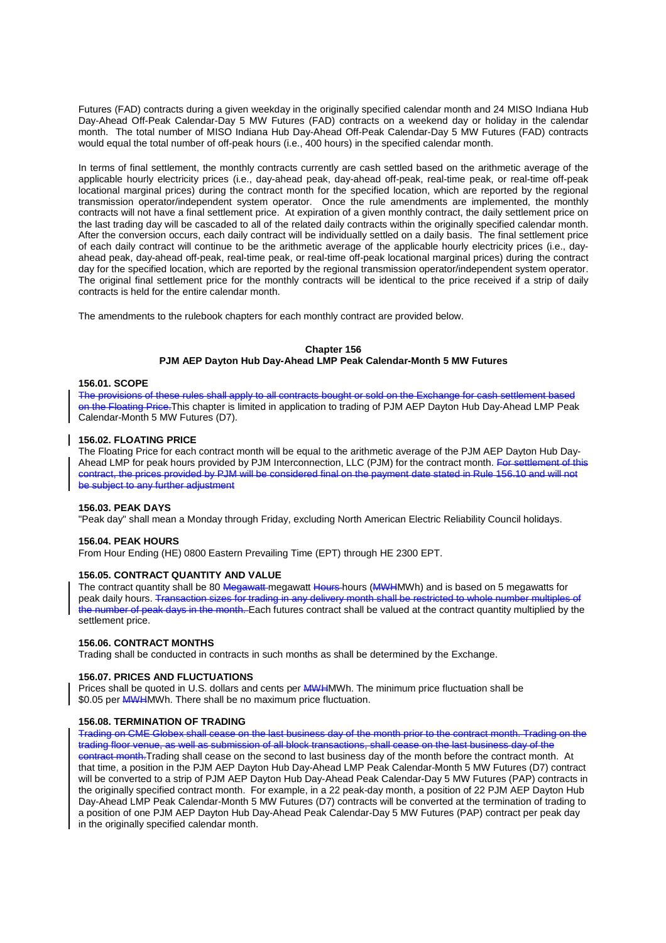Futures (FAD) contracts during a given weekday in the originally specified calendar month and 24 MISO Indiana Hub Day-Ahead Off-Peak Calendar-Day 5 MW Futures (FAD) contracts on a weekend day or holiday in the calendar month. The total number of MISO Indiana Hub Day-Ahead Off-Peak Calendar-Day 5 MW Futures (FAD) contracts would equal the total number of off-peak hours (i.e., 400 hours) in the specified calendar month.

In terms of final settlement, the monthly contracts currently are cash settled based on the arithmetic average of the applicable hourly electricity prices (i.e., day-ahead peak, day-ahead off-peak, real-time peak, or real-time off-peak locational marginal prices) during the contract month for the specified location, which are reported by the regional transmission operator/independent system operator. Once the rule amendments are implemented, the monthly contracts will not have a final settlement price. At expiration of a given monthly contract, the daily settlement price on the last trading day will be cascaded to all of the related daily contracts within the originally specified calendar month. After the conversion occurs, each daily contract will be individually settled on a daily basis. The final settlement price of each daily contract will continue to be the arithmetic average of the applicable hourly electricity prices (i.e., dayahead peak, day-ahead off-peak, real-time peak, or real-time off-peak locational marginal prices) during the contract day for the specified location, which are reported by the regional transmission operator/independent system operator. The original final settlement price for the monthly contracts will be identical to the price received if a strip of daily contracts is held for the entire calendar month.

The amendments to the rulebook chapters for each monthly contract are provided below.

#### **Chapter 156**

#### **PJM AEP Dayton Hub Day-Ahead LMP Peak Calendar-Month 5 MW Futures**

#### **156.01. SCOPE**

The provisions of these rules shall apply to all contracts bought or sold on the Exchange for cash settlement based on the Floating Price.This chapter is limited in application to trading of PJM AEP Dayton Hub Day-Ahead LMP Peak Calendar-Month 5 MW Futures (D7).

#### **156.02. FLOATING PRICE**

The Floating Price for each contract month will be equal to the arithmetic average of the PJM AEP Dayton Hub Day-Ahead LMP for peak hours provided by PJM Interconnection, LLC (PJM) for the contract month. For settlement of this contract, the prices provided by PJM will be considered final on the payment date stated in Rule 156.10 and will not be subject to any further adjustment

#### **156.03. PEAK DAYS**

"Peak day" shall mean a Monday through Friday, excluding North American Electric Reliability Council holidays.

#### **156.04. PEAK HOURS**

From Hour Ending (HE) 0800 Eastern Prevailing Time (EPT) through HE 2300 EPT.

#### **156.05. CONTRACT QUANTITY AND VALUE**

The contract quantity shall be 80 Megawatt-megawatt Hours (MWHMWh) and is based on 5 megawatts for peak daily hours. Transaction sizes for trading in any delivery month shall be restricted to whole number multiple the number of peak days in the month. Each futures contract shall be valued at the contract quantity multiplied by the settlement price.

#### **156.06. CONTRACT MONTHS**

Trading shall be conducted in contracts in such months as shall be determined by the Exchange.

#### **156.07. PRICES AND FLUCTUATIONS**

Prices shall be quoted in U.S. dollars and cents per MWHMWh. The minimum price fluctuation shall be \$0.05 per MWHMWh. There shall be no maximum price fluctuation.

#### **156.08. TERMINATION OF TRADING**

Trading on CME Globex shall cease on the last business day of the month prior to the contract month. Trading on the trading floor venue, as well as submission of all block transactions, shall cease on the last business day of the contract month.Trading shall cease on the second to last business day of the month before the contract month. At that time, a position in the PJM AEP Dayton Hub Day-Ahead LMP Peak Calendar-Month 5 MW Futures (D7) contract will be converted to a strip of PJM AEP Dayton Hub Day-Ahead Peak Calendar-Day 5 MW Futures (PAP) contracts in the originally specified contract month. For example, in a 22 peak-day month, a position of 22 PJM AEP Dayton Hub Day-Ahead LMP Peak Calendar-Month 5 MW Futures (D7) contracts will be converted at the termination of trading to a position of one PJM AEP Dayton Hub Day-Ahead Peak Calendar-Day 5 MW Futures (PAP) contract per peak day in the originally specified calendar month.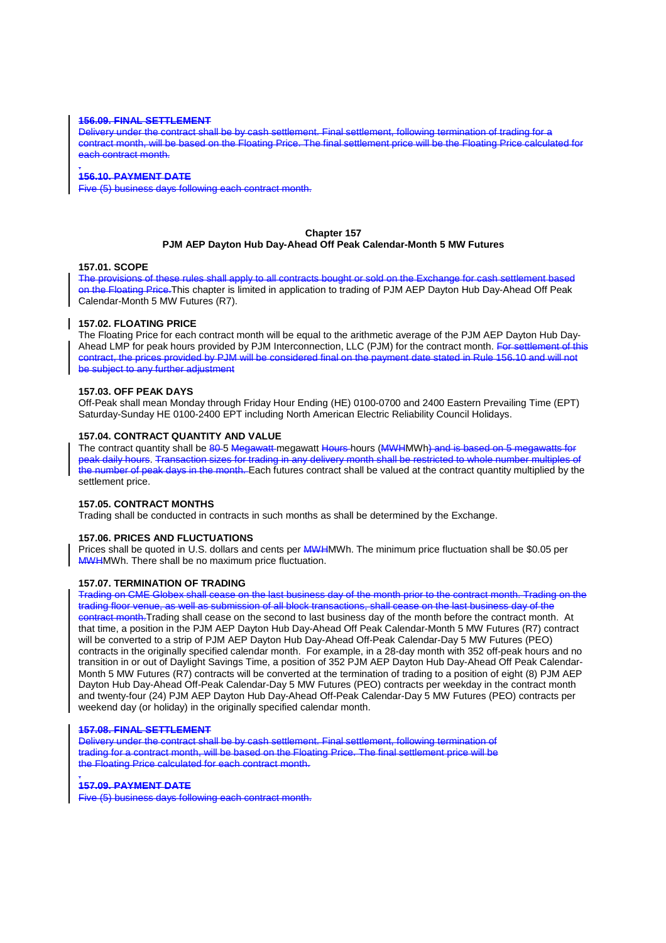#### **156.09. FINAL SETTLEMENT**

Delivery under the contract shall be by cash settlement. Final settlement, following termination of trading for a contract month, will be based on the Floating Price. The final settlement price will be the Floating Price calculated for each contract month.

#### **156.10. PAYMENT DATE**

Five (5) business days following each contract month.

#### **Chapter 157**

#### **PJM AEP Dayton Hub Day-Ahead Off Peak Calendar-Month 5 MW Futures**

#### **157.01. SCOPE**

.

The provisions of these rules shall apply to all contracts bought or sold on the Exchange for cash settlement based on the Floating Price. This chapter is limited in application to trading of PJM AEP Dayton Hub Day-Ahead Off Peak Calendar-Month 5 MW Futures (R7).

#### **157.02. FLOATING PRICE**

The Floating Price for each contract month will be equal to the arithmetic average of the PJM AEP Dayton Hub Day-Ahead LMP for peak hours provided by PJM Interconnection, LLC (PJM) for the contract month. For settlement of this contract, the prices provided by PJM will be considered final on the payment date stated in Rule 156.10 and will not be subject to any further adjustment

#### **157.03. OFF PEAK DAYS**

Off-Peak shall mean Monday through Friday Hour Ending (HE) 0100-0700 and 2400 Eastern Prevailing Time (EPT) Saturday-Sunday HE 0100-2400 EPT including North American Electric Reliability Council Holidays.

#### **157.04. CONTRACT QUANTITY AND VALUE**

The contract quantity shall be 80-5 Megawatt-megawatt Hours hours (MWHMWh) and is based on 5 megawatts for peak daily hours. Transaction sizes for trading in any delivery month shall be restricted to whole number multiples of the number of peak days in the month. Each futures contract shall be valued at the contract quantity multiplied by the settlement price.

#### **157.05. CONTRACT MONTHS**

Trading shall be conducted in contracts in such months as shall be determined by the Exchange.

#### **157.06. PRICES AND FLUCTUATIONS**

Prices shall be quoted in U.S. dollars and cents per MWHMWh. The minimum price fluctuation shall be \$0.05 per MWHMWh. There shall be no maximum price fluctuation.

#### **157.07. TERMINATION OF TRADING**

Trading on CME Globex shall cease on the last business day of the month prior to the contract month. Trading on the trading floor venue, as well as submission of all block transactions, shall cease on the last business day of the contract month.Trading shall cease on the second to last business day of the month before the contract month. At that time, a position in the PJM AEP Dayton Hub Day-Ahead Off Peak Calendar-Month 5 MW Futures (R7) contract will be converted to a strip of PJM AEP Dayton Hub Day-Ahead Off-Peak Calendar-Day 5 MW Futures (PEO) contracts in the originally specified calendar month. For example, in a 28-day month with 352 off-peak hours and no transition in or out of Daylight Savings Time, a position of 352 PJM AEP Dayton Hub Day-Ahead Off Peak Calendar-Month 5 MW Futures (R7) contracts will be converted at the termination of trading to a position of eight (8) PJM AEP Dayton Hub Day-Ahead Off-Peak Calendar-Day 5 MW Futures (PEO) contracts per weekday in the contract month and twenty-four (24) PJM AEP Dayton Hub Day-Ahead Off-Peak Calendar-Day 5 MW Futures (PEO) contracts per weekend day (or holiday) in the originally specified calendar month.

#### **157.08. FINAL SETTLEMENT**

Delivery under the contract shall be by cash settlement. Final settlement, following termination of trading for a contract month, will be based on the Floating Price. The final settlement price will be the Floating Price calculated for each contract month.

#### **157.09. PAYMENT DATE**

.

Five (5) business days following each contract month.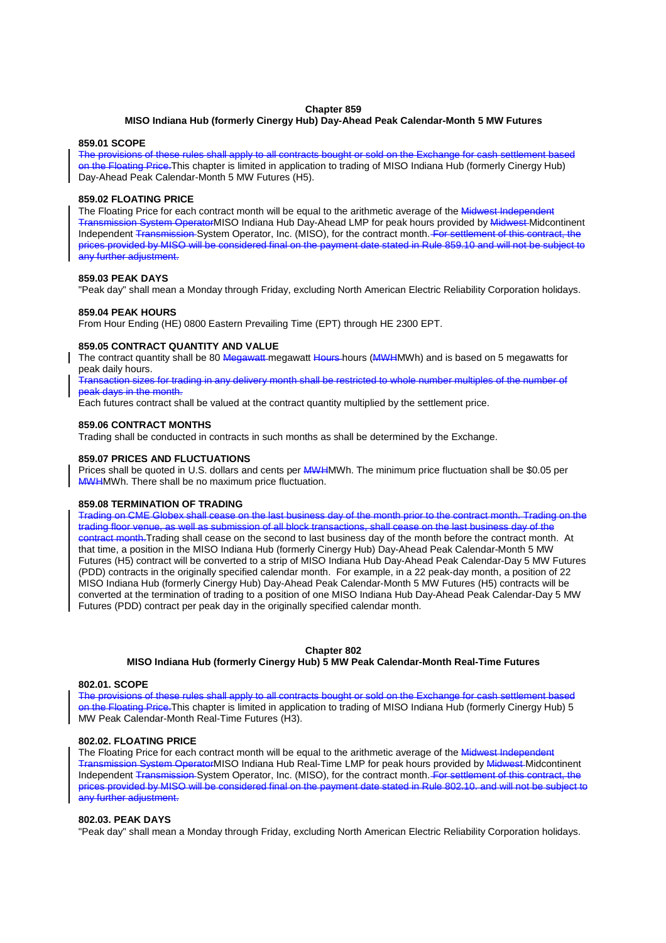#### **Chapter 859**

#### **MISO Indiana Hub (formerly Cinergy Hub) Day-Ahead Peak Calendar-Month 5 MW Futures**

#### **859.01 SCOPE**

The provisions of these rules shall apply to all contracts bought or sold on the Exchange for cash settlement based on the Floating Price. This chapter is limited in application to trading of MISO Indiana Hub (formerly Cinergy Hub) Day-Ahead Peak Calendar-Month 5 MW Futures (H5).

#### **859.02 FLOATING PRICE**

The Floating Price for each contract month will be equal to the arithmetic average of the Midwest Independent Transmission System OperatorMISO Indiana Hub Day-Ahead LMP for peak hours provided by Midwest Midcontinent Independent Transmission System Operator, Inc. (MISO), for the contract month. For settlement of this contract, the prices provided by MISO will be considered final on the payment date stated in Rule 859.10 and will not be subject to any further adjustment.

#### **859.03 PEAK DAYS**

"Peak day" shall mean a Monday through Friday, excluding North American Electric Reliability Corporation holidays.

#### **859.04 PEAK HOURS**

From Hour Ending (HE) 0800 Eastern Prevailing Time (EPT) through HE 2300 EPT.

#### **859.05 CONTRACT QUANTITY AND VALUE**

The contract quantity shall be 80 Megawatt megawatt Hours (MWHMWh) and is based on 5 megawatts for peak daily hours.

Transaction sizes for trading in any delivery month shall be restricted to whole number multiples of the number of peak days in the month.

Each futures contract shall be valued at the contract quantity multiplied by the settlement price.

#### **859.06 CONTRACT MONTHS**

Trading shall be conducted in contracts in such months as shall be determined by the Exchange.

#### **859.07 PRICES AND FLUCTUATIONS**

Prices shall be quoted in U.S. dollars and cents per **MWHMWh**. The minimum price fluctuation shall be \$0.05 per MWHMWh. There shall be no maximum price fluctuation.

#### **859.08 TERMINATION OF TRADING**

Trading on CME Globex shall cease on the last business day of the month prior to the contract month. Trading on the trading floor venue, as well as submission of all block transactions, shall cease on the last business day of the contract month.Trading shall cease on the second to last business day of the month before the contract month. At that time, a position in the MISO Indiana Hub (formerly Cinergy Hub) Day-Ahead Peak Calendar-Month 5 MW Futures (H5) contract will be converted to a strip of MISO Indiana Hub Day-Ahead Peak Calendar-Day 5 MW Futures (PDD) contracts in the originally specified calendar month. For example, in a 22 peak-day month, a position of 22 MISO Indiana Hub (formerly Cinergy Hub) Day-Ahead Peak Calendar-Month 5 MW Futures (H5) contracts will be converted at the termination of trading to a position of one MISO Indiana Hub Day-Ahead Peak Calendar-Day 5 MW Futures (PDD) contract per peak day in the originally specified calendar month.

#### **Chapter 802**

#### **MISO Indiana Hub (formerly Cinergy Hub) 5 MW Peak Calendar-Month Real-Time Futures**

#### **802.01. SCOPE**

The provisions of these rules shall apply to all contracts bought or sold on the Exchange for cash settlement based on the Floating Price. This chapter is limited in application to trading of MISO Indiana Hub (formerly Cinergy Hub) 5 MW Peak Calendar-Month Real-Time Futures (H3).

#### **802.02. FLOATING PRICE**

The Floating Price for each contract month will be equal to the arithmetic average of the Midwest Independent Transmission System OperatorMISO Indiana Hub Real-Time LMP for peak hours provided by **Midwest-Midcontinent** Independent Transmission System Operator, Inc. (MISO), for the contract month. For settlement of this contract, the prices provided by MISO will be considered final on the payment date stated in Rule 802.10. and will not be subject to any further adjustment.

#### **802.03. PEAK DAYS**

"Peak day" shall mean a Monday through Friday, excluding North American Electric Reliability Corporation holidays.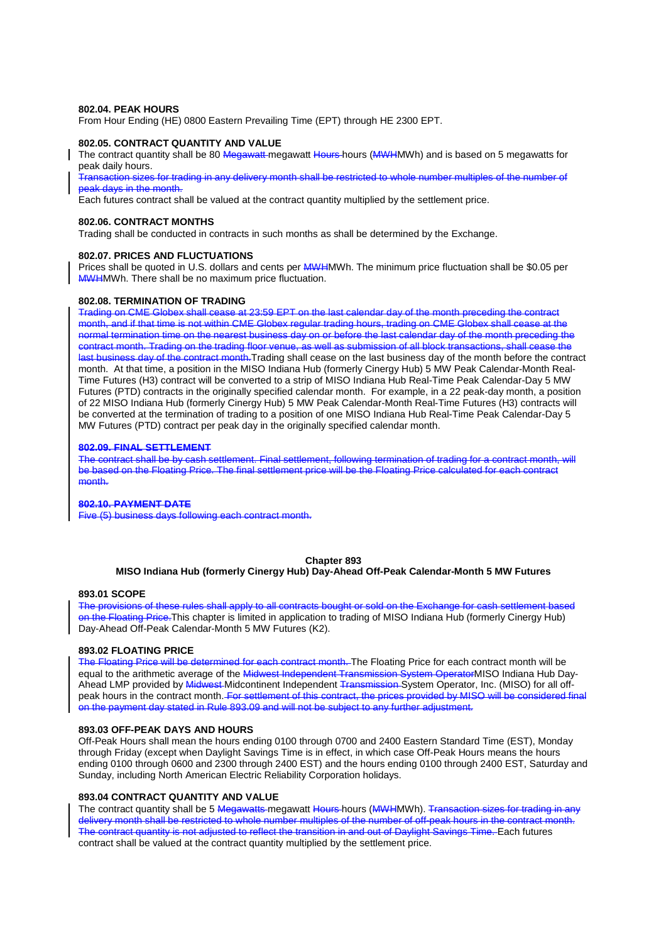#### **802.04. PEAK HOURS**

From Hour Ending (HE) 0800 Eastern Prevailing Time (EPT) through HE 2300 EPT.

#### **802.05. CONTRACT QUANTITY AND VALUE**

The contract quantity shall be 80 Megawatt-megawatt Hours-hours (MWHMWh) and is based on 5 megawatts for peak daily hours.

Transaction sizes for trading in any delivery month shall be restricted to whole number multiples of the number of peak days in the month.

Each futures contract shall be valued at the contract quantity multiplied by the settlement price.

#### **802.06. CONTRACT MONTHS**

Trading shall be conducted in contracts in such months as shall be determined by the Exchange.

#### **802.07. PRICES AND FLUCTUATIONS**

Prices shall be quoted in U.S. dollars and cents per **MWHMWh**. The minimum price fluctuation shall be \$0.05 per **MWHMWh.** There shall be no maximum price fluctuation.

#### **802.08. TERMINATION OF TRADING**

Trading on CME Globex shall cease at 23:59 EPT on the last calendar day of the month preceding the contract month, and if that time is not within CME Globex regular trading hours, trading on CME Globex shall cease at the normal termination time on the nearest business day on or before the last calendar day of the month preceding the contract month. Trading on the trading floor venue, as well as submission of all block transactions, shall cease the last business day of the contract month. Trading shall cease on the last business day of the month before the contract month. At that time, a position in the MISO Indiana Hub (formerly Cinergy Hub) 5 MW Peak Calendar-Month Real-Time Futures (H3) contract will be converted to a strip of MISO Indiana Hub Real-Time Peak Calendar-Day 5 MW Futures (PTD) contracts in the originally specified calendar month. For example, in a 22 peak-day month, a position of 22 MISO Indiana Hub (formerly Cinergy Hub) 5 MW Peak Calendar-Month Real-Time Futures (H3) contracts will be converted at the termination of trading to a position of one MISO Indiana Hub Real-Time Peak Calendar-Day 5 MW Futures (PTD) contract per peak day in the originally specified calendar month.

#### **802.09. FINAL SETTLEMENT**

The contract shall be by cash settlement. Final settlement, following termination of trading for a contract month, will be based on the Floating Price. The final settlement price will be the Floating Price calculated for each contract month.

#### **802.10. PAYMENT DATE**

Five (5) business days following each contract month.

#### **Chapter 893**

#### **MISO Indiana Hub (formerly Cinergy Hub) Day-Ahead Off-Peak Calendar-Month 5 MW Futures**

#### **893.01 SCOPE**

The provisions of these rules shall apply to all contracts bought or sold on the Exchange for cash settlement based on the Floating Price.This chapter is limited in application to trading of MISO Indiana Hub (formerly Cinergy Hub) Day-Ahead Off-Peak Calendar-Month 5 MW Futures (K2).

#### **893.02 FLOATING PRICE**

The Floating Price will be determined for each contract month. The Floating Price for each contract month will be equal to the arithmetic average of the Midwest Independent Transmission System OperatorMISO Indiana Hub Day-Ahead LMP provided by Midwest Midcontinent Independent Transmission System Operator, Inc. (MISO) for all offpeak hours in the contract month. For settlement of this contract, the prices provided by MISO will be considered final on the payment day stated in Rule 893.09 and will not be subject to any further adjustment.

#### **893.03 OFF-PEAK DAYS AND HOURS**

Off-Peak Hours shall mean the hours ending 0100 through 0700 and 2400 Eastern Standard Time (EST), Monday through Friday (except when Daylight Savings Time is in effect, in which case Off-Peak Hours means the hours ending 0100 through 0600 and 2300 through 2400 EST) and the hours ending 0100 through 2400 EST, Saturday and Sunday, including North American Electric Reliability Corporation holidays.

#### **893.04 CONTRACT QUANTITY AND VALUE**

The contract quantity shall be 5 Megawatts megawatt Hours hours (MWHMWh). Transaction sizes for trading in any delivery month shall be restricted to whole number multiples of the number of off-peak hours in the contract month. The contract quantity is not adjusted to reflect the transition in and out of Daylight Savings Time. Each futures contract shall be valued at the contract quantity multiplied by the settlement price.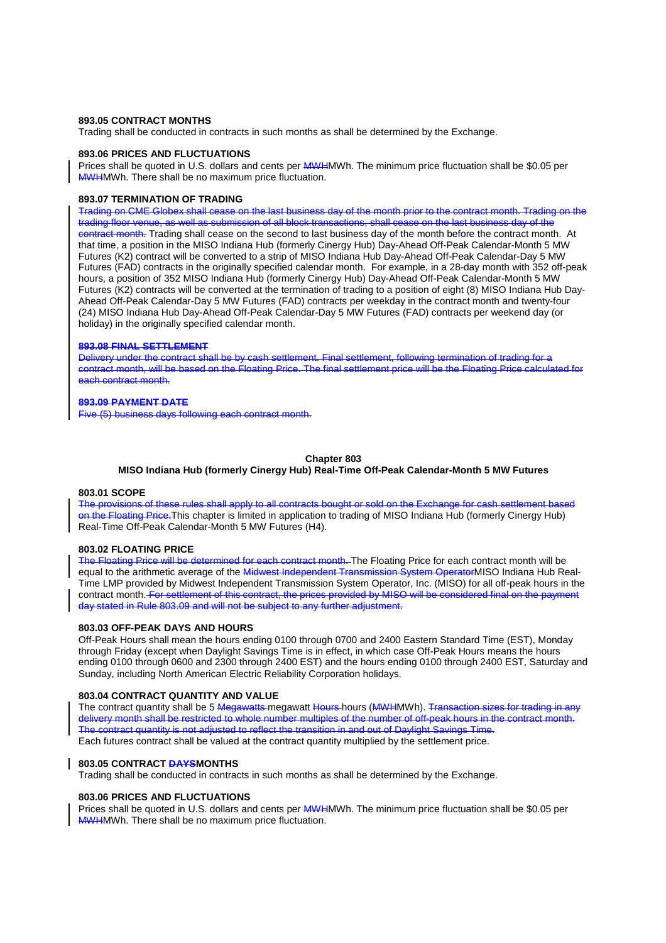#### **893.05 CONTRACT MONTHS**

Trading shall be conducted in contracts in such months as shall be determined by the Exchange.

#### **893.06 PRICES AND FLUCTUATIONS**

Prices shall be quoted in U.S. dollars and cents per **MWHMWh**. The minimum price fluctuation shall be \$0.05 per **MWHMWh.** There shall be no maximum price fluctuation.

#### **893.07 TERMINATION OF TRADING**

Trading on CME Globex shall cease on the last business day of the month prior to the contract month. Trading on the trading floor venue, as well as submission of all block transactions, shall cease on the last business day of the contract month. Trading shall cease on the second to last business day of the month before the contract month. At that time, a position in the MISO Indiana Hub (formerly Cinergy Hub) Day-Ahead Off-Peak Calendar-Month 5 MW Futures (K2) contract will be converted to a strip of MISO Indiana Hub Day-Ahead Off-Peak Calendar-Day 5 MW Futures (FAD) contracts in the originally specified calendar month. For example, in a 28-day month with 352 off-peak hours, a position of 352 MISO Indiana Hub (formerly Cinergy Hub) Day-Ahead Off-Peak Calendar-Month 5 MW Futures (K2) contracts will be converted at the termination of trading to a position of eight (8) MISO Indiana Hub Day-Ahead Off-Peak Calendar-Day 5 MW Futures (FAD) contracts per weekday in the contract month and twenty-four (24) MISO Indiana Hub Day-Ahead Off-Peak Calendar-Day 5 MW Futures (FAD) contracts per weekend day (or holiday) in the originally specified calendar month.

#### **893.08 FINAL SETTLEMENT**

Delivery under the contract shall be by cash settlement. Final settlement, following termination of trading for a contract month, will be based on the Floating Price. The final settlement price will be the Floating Price calculated for each contract month.

#### **893.09 PAYMENT DATE**

Five (5) business days following each contract month.

#### **Chapter 803**

#### **MISO Indiana Hub (formerly Cinergy Hub) Real-Time Off-Peak Calendar-Month 5 MW Futures**

#### **803.01 SCOPE**

The provisions of these rules shall apply to all contracts bought or sold on the Exchange for cash settlement based on the Floating Price.This chapter is limited in application to trading of MISO Indiana Hub (formerly Cinergy Hub) Real-Time Off-Peak Calendar-Month 5 MW Futures (H4).

#### **803.02 FLOATING PRICE**

The Floating Price will be determined for each contract month. The Floating Price for each contract month will be equal to the arithmetic average of the Midwest Independent Transmission System OperatorMISO Indiana Hub Real-Time LMP provided by Midwest Independent Transmission System Operator, Inc. (MISO) for all off-peak hours in the contract month. For settlement of this contract, the prices provided by MISO will be considered final on the payment day stated in Rule 803.09 and will not be subject to any further adjustment.

#### **803.03 OFF-PEAK DAYS AND HOURS**

Off-Peak Hours shall mean the hours ending 0100 through 0700 and 2400 Eastern Standard Time (EST), Monday through Friday (except when Daylight Savings Time is in effect, in which case Off-Peak Hours means the hours ending 0100 through 0600 and 2300 through 2400 EST) and the hours ending 0100 through 2400 EST, Saturday and Sunday, including North American Electric Reliability Corporation holidays.

#### **803.04 CONTRACT QUANTITY AND VALUE**

The contract quantity shall be 5 Megawatts megawatt Hours hours (MWHMWh). Transaction sizes for trading in any delivery month shall be restricted to whole number multiples of the number of off-peak hours in the contract month. The contract quantity is not adjusted to reflect the transition in and out of Daylight Savings Time. Each futures contract shall be valued at the contract quantity multiplied by the settlement price.

#### **803.05 CONTRACT DAYSMONTHS**

Trading shall be conducted in contracts in such months as shall be determined by the Exchange.

#### **803.06 PRICES AND FLUCTUATIONS**

Prices shall be quoted in U.S. dollars and cents per MWHMWh. The minimum price fluctuation shall be \$0.05 per MWHMWh. There shall be no maximum price fluctuation.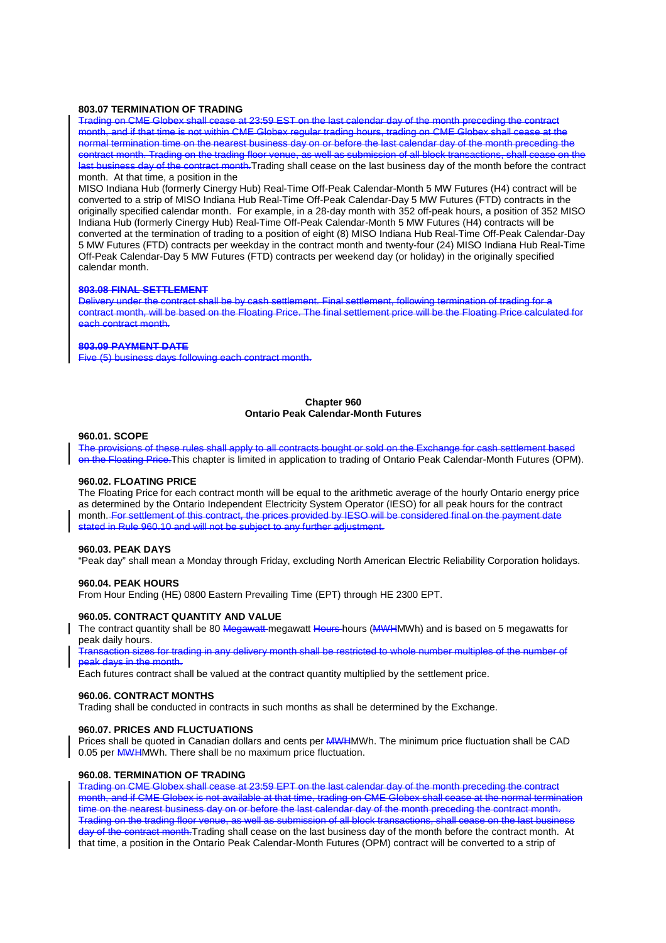#### **803.07 TERMINATION OF TRADING**

Trading on CME Globex shall cease at 23:59 EST on the last calendar day of the month preceding the contract month, and if that time is not within CME Globex regular trading hours, trading on CME Globex shall cease at the normal termination time on the nearest business day on or before the last calendar day of the month preceding the contract month. Trading on the trading floor venue, as well as submission of all block transactions, shall cease on the last business day of the contract month. Trading shall cease on the last business day of the month before the contract month. At that time, a position in the

MISO Indiana Hub (formerly Cinergy Hub) Real-Time Off-Peak Calendar-Month 5 MW Futures (H4) contract will be converted to a strip of MISO Indiana Hub Real-Time Off-Peak Calendar-Day 5 MW Futures (FTD) contracts in the originally specified calendar month. For example, in a 28-day month with 352 off-peak hours, a position of 352 MISO Indiana Hub (formerly Cinergy Hub) Real-Time Off-Peak Calendar-Month 5 MW Futures (H4) contracts will be converted at the termination of trading to a position of eight (8) MISO Indiana Hub Real-Time Off-Peak Calendar-Day 5 MW Futures (FTD) contracts per weekday in the contract month and twenty-four (24) MISO Indiana Hub Real-Time Off-Peak Calendar-Day 5 MW Futures (FTD) contracts per weekend day (or holiday) in the originally specified calendar month.

#### **803.08 FINAL SETTLEMENT**

Delivery under the contract shall be by cash settlement. Final settlement, following termination of trading for a contract month, will be based on the Floating Price. The final settlement price will be the Floating Price calculated for each contract month.

#### **803.09 PAYMENT DATE**

Five (5) business days following each contract month.

#### **Chapter 960 Ontario Peak Calendar-Month Futures**

#### **960.01. SCOPE**

The provisions of these rules shall apply to all contracts bought or sold on the Exchange for cash settlement based on the Floating Price. This chapter is limited in application to trading of Ontario Peak Calendar-Month Futures (OPM).

#### **960.02. FLOATING PRICE**

The Floating Price for each contract month will be equal to the arithmetic average of the hourly Ontario energy price as determined by the Ontario Independent Electricity System Operator (IESO) for all peak hours for the contract month. For settlement of this contract, the prices provided by IESO will be considered final on the payment date stated in Rule 960.10 and will not be subject to any further adjustment.

#### **960.03. PEAK DAYS**

"Peak day" shall mean a Monday through Friday, excluding North American Electric Reliability Corporation holidays.

#### **960.04. PEAK HOURS**

From Hour Ending (HE) 0800 Eastern Prevailing Time (EPT) through HE 2300 EPT.

#### **960.05. CONTRACT QUANTITY AND VALUE**

The contract quantity shall be 80 Megawatt megawatt Hours hours (MWHMWh) and is based on 5 megawatts for peak daily hours.

Transaction sizes for trading in any delivery month shall be restricted to whole number multiples of the number of peak days in the month.

Each futures contract shall be valued at the contract quantity multiplied by the settlement price.

#### **960.06. CONTRACT MONTHS**

Trading shall be conducted in contracts in such months as shall be determined by the Exchange.

#### **960.07. PRICES AND FLUCTUATIONS**

Prices shall be quoted in Canadian dollars and cents per MWHMWh. The minimum price fluctuation shall be CAD 0.05 per **MWHMWh**. There shall be no maximum price fluctuation.

#### **960.08. TERMINATION OF TRADING**

Trading on CME Globex shall cease at 23:59 EPT on the last calendar day of the month preceding the contract month, and if CME Globex is not available at that time, trading on CME Globex shall cease at the normal termination time on the nearest business day on or before the last calendar day of the month preceding the contract month. Trading on the trading floor venue, as well as submission of all block transactions, shall cease on the last busine day of the contract month. Trading shall cease on the last business day of the month before the contract month. At that time, a position in the Ontario Peak Calendar-Month Futures (OPM) contract will be converted to a strip of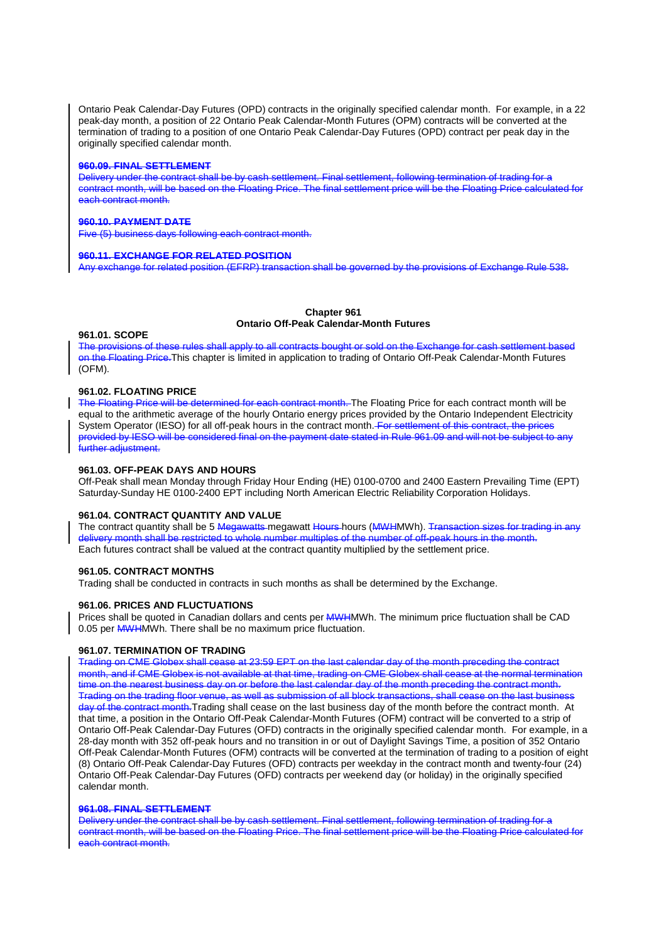Ontario Peak Calendar-Day Futures (OPD) contracts in the originally specified calendar month. For example, in a 22 peak-day month, a position of 22 Ontario Peak Calendar-Month Futures (OPM) contracts will be converted at the termination of trading to a position of one Ontario Peak Calendar-Day Futures (OPD) contract per peak day in the originally specified calendar month.

#### **960.09. FINAL SETTLEMENT**

Delivery under the contract shall be by cash settlement. Final settlement, following termination of trading for a contract month, will be based on the Floating Price. The final settlement price will be the Floating Price calculated for each contract month.

#### **960.10. PAYMENT DATE**

Five (5) business days following each contract month.

#### **960.11. EXCHANGE FOR RELATED POSITION**

Any exchange for related position (EFRP) transaction shall be governed by the provisions of Exchange Rule 538.

#### **Chapter 961 Ontario Off-Peak Calendar-Month Futures**

#### **961.01. SCOPE**

The provisions of these rules shall apply to all contracts bought or sold on the Exchange for cash settlement based on the Floating Price. This chapter is limited in application to trading of Ontario Off-Peak Calendar-Month Futures (OFM).

#### **961.02. FLOATING PRICE**

The Floating Price will be determined for each contract month. The Floating Price for each contract month will be equal to the arithmetic average of the hourly Ontario energy prices provided by the Ontario Independent Electricity System Operator (IESO) for all off-peak hours in the contract month. For settlement of this contract, the prices provided by IESO will be considered final on the payment date stated in Rule 961.09 and will not be subject to any further adjustment.

#### **961.03. OFF-PEAK DAYS AND HOURS**

Off-Peak shall mean Monday through Friday Hour Ending (HE) 0100-0700 and 2400 Eastern Prevailing Time (EPT) Saturday-Sunday HE 0100-2400 EPT including North American Electric Reliability Corporation Holidays.

#### **961.04. CONTRACT QUANTITY AND VALUE**

The contract quantity shall be 5 Megawatts megawatt Hours hours (MWHMWh). Transaction sizes for trading in any delivery month shall be restricted to whole number multiples of the number of off-peak hours in the month. Each futures contract shall be valued at the contract quantity multiplied by the settlement price.

#### **961.05. CONTRACT MONTHS**

Trading shall be conducted in contracts in such months as shall be determined by the Exchange.

#### **961.06. PRICES AND FLUCTUATIONS**

Prices shall be quoted in Canadian dollars and cents per MWHMWh. The minimum price fluctuation shall be CAD 0.05 per MWHMWh. There shall be no maximum price fluctuation.

#### **961.07. TERMINATION OF TRADING**

Trading on CME Globex shall cease at 23:59 EPT on the last calendar day of the month preceding the contract month, and if CME Globex is not available at that time, trading on CME Globex shall cease at the normal termination time on the nearest business day on or before the last calendar day of the month preceding the contract month. Trading on the trading floor venue, as well as submission of all block transactions, shall cease on the last business day of the contract month. Trading shall cease on the last business day of the month before the contract month. At that time, a position in the Ontario Off-Peak Calendar-Month Futures (OFM) contract will be converted to a strip of Ontario Off-Peak Calendar-Day Futures (OFD) contracts in the originally specified calendar month. For example, in a 28-day month with 352 off-peak hours and no transition in or out of Daylight Savings Time, a position of 352 Ontario Off-Peak Calendar-Month Futures (OFM) contracts will be converted at the termination of trading to a position of eight (8) Ontario Off-Peak Calendar-Day Futures (OFD) contracts per weekday in the contract month and twenty-four (24) Ontario Off-Peak Calendar-Day Futures (OFD) contracts per weekend day (or holiday) in the originally specified calendar month.

#### **961.08. FINAL SETTLEMENT**

Delivery under the contract shall be by cash settlement. Final settlement, following termination of trading for a contract month, will be based on the Floating Price. The final settlement price will be the Floating Price calculated for each contract month.